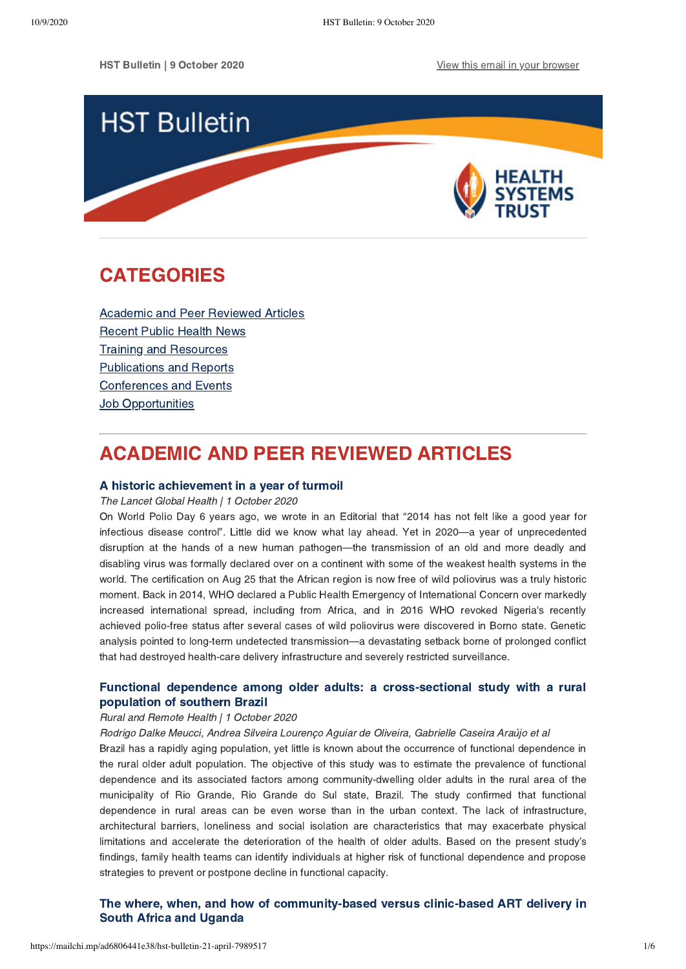

# <span id="page-0-1"></span>CATEGORIES

[Academic and Peer Reviewed Articles](#page-0-0) [Recent Public Health News](#page-1-0) Training and Resources [Publications and Reports](#page-3-0) [Conferences and Events](#page-4-0) **Job Opportunities** 

# <span id="page-0-0"></span>ACADEMIC AND PEER REVIEWED ARTICLES

## [A historic achievement in a year of turmoil](https://www.thelancet.com/journals/langlo/article/PIIS2214-109X(20)30391-0/fulltext)

#### The Lancet Global Health | 1 October 2020

On World Polio Day 6 years ago, we wrote in an Editorial that "2014 has not felt like a good year for infectious disease control". Little did we know what lay ahead. Yet in 2020—a year of unprecedented disruption at the hands of a new human pathogen—the transmission of an old and more deadly and disabling virus was formally declared over on a continent with some of the weakest health systems in the world. The certification on Aug 25 that the African region is now free of wild poliovirus was a truly historic moment. Back in 2014, WHO declared a Public Health Emergency of International Concern over markedly increased international spread, including from Africa, and in 2016 WHO revoked Nigeria's recently achieved polio-free status after several cases of wild poliovirus were discovered in Borno state. Genetic analysis pointed to long-term undetected transmission—a devastating setback borne of prolonged conflict that had destroyed health-care delivery infrastructure and severely restricted surveillance.

## [Functional dependence among older adults: a cross-sectional study with a rural](https://www.rrh.org.au/journal/article/5985) population of southern Brazil

#### Rural and Remote Health | 1 October 2020

Rodrigo Dalke Meucci, Andrea Silveira Lourenço Aguiar de Oliveira, Gabrielle Caseira Araújo et al

Brazil has a rapidly aging population, yet little is known about the occurrence of functional dependence in the rural older adult population. The objective of this study was to estimate the prevalence of functional dependence and its associated factors among community-dwelling older adults in the rural area of the municipality of Rio Grande, Rio Grande do Sul state, Brazil. The study confirmed that functional dependence in rural areas can be even worse than in the urban context. The lack of infrastructure, architectural barriers, loneliness and social isolation are characteristics that may exacerbate physical limitations and accelerate the deterioration of the health of older adults. Based on the present study's findings, family health teams can identify individuals at higher risk of functional dependence and propose strategies to prevent or postpone decline in functional capacity.

## [The where, when, and how of community-based versus clinic-based ART delivery in](https://www.thelancet.com/journals/langlo/article/PIIS2214-109X(20)30385-5/fulltext) South Africa and Uganda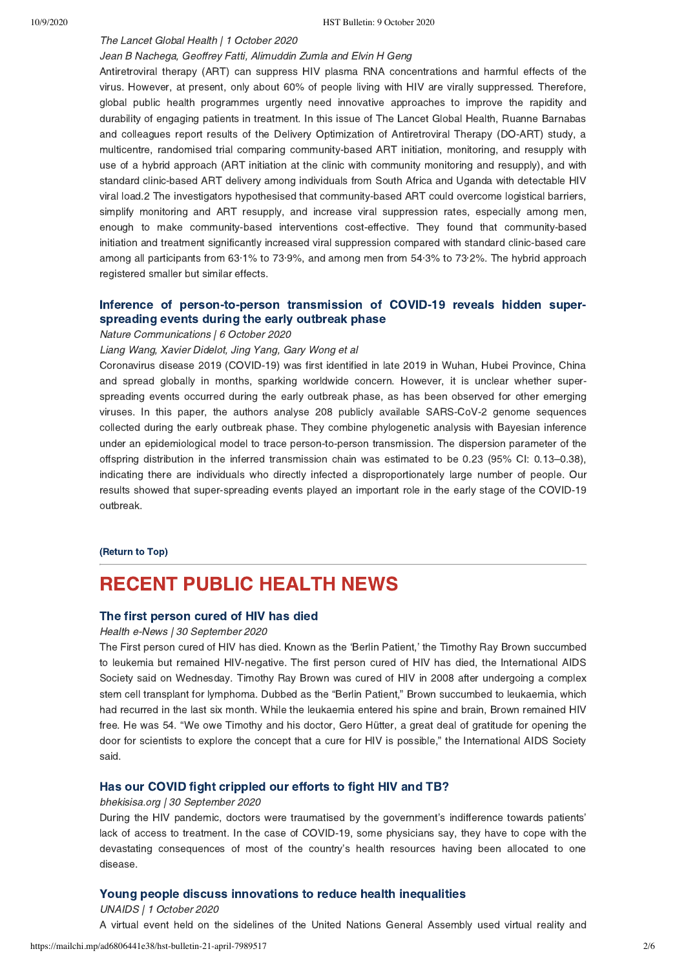## The Lancet Global Health | 1 October 2020

## Jean B Nachega, Geoffrey Fatti, Alimuddin Zumla and Elvin H Geng

Antiretroviral therapy (ART) can suppress HIV plasma RNA concentrations and harmful effects of the virus. However, at present, only about 60% of people living with HIV are virally suppressed. Therefore, global public health programmes urgently need innovative approaches to improve the rapidity and durability of engaging patients in treatment. In this issue of The Lancet Global Health, Ruanne Barnabas and colleagues report results of the Delivery Optimization of Antiretroviral Therapy (DO-ART) study, a multicentre, randomised trial comparing community-based ART initiation, monitoring, and resupply with use of a hybrid approach (ART initiation at the clinic with community monitoring and resupply), and with standard clinic-based ART delivery among individuals from South Africa and Uganda with detectable HIV viral load.2 The investigators hypothesised that community-based ART could overcome logistical barriers, simplify monitoring and ART resupply, and increase viral suppression rates, especially among men, enough to make community-based interventions cost-effective. They found that community-based initiation and treatment significantly increased viral suppression compared with standard clinic-based care among all participants from 63·1% to 73·9%, and among men from 54·3% to 73·2%. The hybrid approach registered smaller but similar effects.

## [Inference of person-to-person transmission of COVID-19 reveals hidden super](https://www.nature.com/articles/s41467-020-18836-4)spreading events during the early outbreak phase

Nature Communications | 6 October 2020

Liang Wang, Xavier Didelot, Jing Yang, Gary Wong et al

Coronavirus disease 2019 (COVID-19) was first identified in late 2019 in Wuhan, Hubei Province, China and spread globally in months, sparking worldwide concern. However, it is unclear whether superspreading events occurred during the early outbreak phase, as has been observed for other emerging viruses. In this paper, the authors analyse 208 publicly available SARS-CoV-2 genome sequences collected during the early outbreak phase. They combine phylogenetic analysis with Bayesian inference under an epidemiological model to trace person-to-person transmission. The dispersion parameter of the offspring distribution in the inferred transmission chain was estimated to be 0.23 (95% CI: 0.13–0.38), indicating there are individuals who directly infected a disproportionately large number of people. Our results showed that super-spreading events played an important role in the early stage of the COVID-19 outbreak.

## [\(Return to Top\)](#page-0-1)

# <span id="page-1-0"></span>RECENT PUBLIC HEALTH NEWS

## [The first person cured of HIV has died](https://health-e.org.za/2020/09/30/berlin-patient-dies/)

### Health e-News | 30 September 2020

The First person cured of HIV has died. Known as the 'Berlin Patient,' the Timothy Ray Brown succumbed to leukemia but remained HIV-negative. The first person cured of HIV has died, the International AIDS Society said on Wednesday. Timothy Ray Brown was cured of HIV in 2008 after undergoing a complex stem cell transplant for lymphoma. Dubbed as the "Berlin Patient," Brown succumbed to leukaemia, which had recurred in the last six month. While the leukaemia entered his spine and brain, Brown remained HIV free. He was 54. "We owe Timothy and his doctor, Gero Hütter, a great deal of gratitude for opening the door for scientists to explore the concept that a cure for HIV is possible," the International AIDS Society said.

## [Has our COVID fight crippled our efforts to fight HIV and TB?](https://bhekisisa.org/article/2020-09-30-has-our-covid-fight-crippled-our-efforts-to-fight-hiv-and-tb/)

#### bhekisisa.org | 30 September 2020

During the HIV pandemic, doctors were traumatised by the government's indifference towards patients' lack of access to treatment. In the case of COVID-19, some physicians say, they have to cope with the devastating consequences of most of the country's health resources having been allocated to one disease.

### [Young people discuss innovations to reduce health inequalities](https://www.unaids.org/en/resources/presscentre/featurestories/2020/october/20201001_young-people)

UNAIDS | 1 October 2020 A virtual event held on the sidelines of the United Nations General Assembly used virtual reality and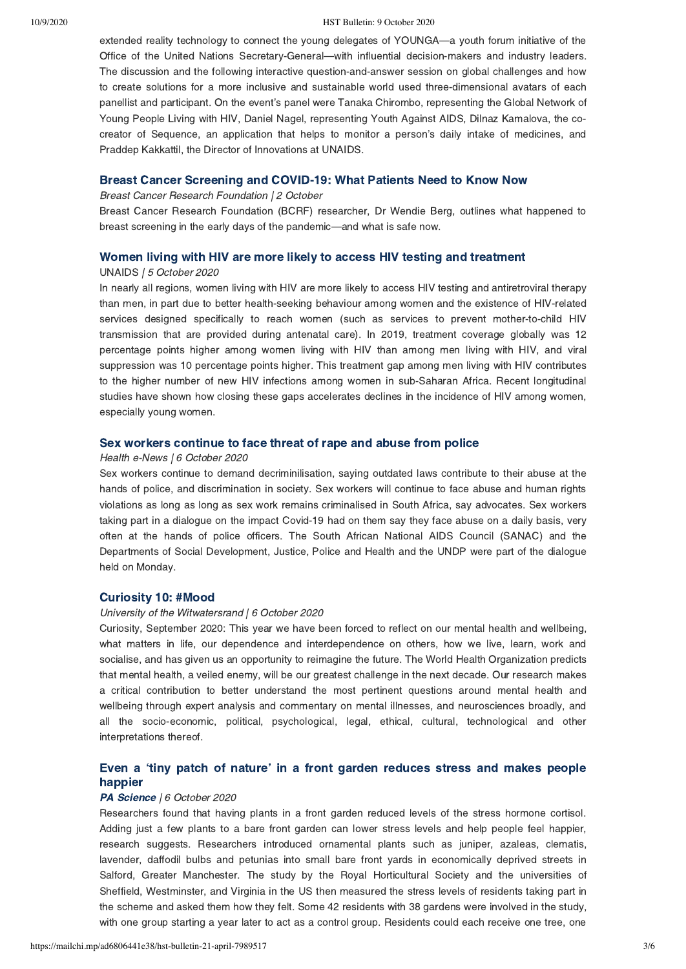#### 10/9/2020 HST Bulletin: 9 October 2020

extended reality technology to connect the young delegates of YOUNGA—a youth forum initiative of the Office of the United Nations Secretary-General—with influential decision-makers and industry leaders. The discussion and the following interactive question-and-answer session on global challenges and how to create solutions for a more inclusive and sustainable world used three-dimensional avatars of each panellist and participant. On the event's panel were Tanaka Chirombo, representing the Global Network of Young People Living with HIV, Daniel Nagel, representing Youth Against AIDS, Dilnaz Kamalova, the cocreator of Sequence, an application that helps to monitor a person's daily intake of medicines, and Praddep Kakkattil, the Director of Innovations at UNAIDS.

### [Breast Cancer Screening and COVID-19: What Patients Need to Know Now](https://www.bcrf.org/covid-19-mammogram-breast-cancer-screening)

Breast Cancer Research Foundation | 2 October

Breast Cancer Research Foundation (BCRF) researcher, Dr Wendie Berg, outlines what happened to breast screening in the early days of the pandemic—and what is safe now.

### [Women living with HIV are more likely to access HIV testing and treatment](https://www.unaids.org/en/resources/presscentre/featurestories/2020/october/20201005_women-hiv-testing-treatment)

#### UNAIDS | 5 October 2020

In nearly all regions, women living with HIV are more likely to access HIV testing and antiretroviral therapy than men, in part due to better health-seeking behaviour among women and the existence of HIV-related services designed specifically to reach women (such as services to prevent mother-to-child HIV transmission that are provided during antenatal care). In 2019, treatment coverage globally was 12 percentage points higher among women living with HIV than among men living with HIV, and viral suppression was 10 percentage points higher. This treatment gap among men living with HIV contributes to the higher number of new HIV infections among women in sub-Saharan Africa. Recent longitudinal studies have shown how closing these gaps accelerates declines in the incidence of HIV among women, especially young women.

## [Sex workers continue to face threat of rape and abuse from police](https://health-e.org.za/2020/10/06/sex-work-decriminilisation/)

#### Health e-News | 6 October 2020

Sex workers continue to demand decriminilisation, saying outdated laws contribute to their abuse at the hands of police, and discrimination in society. Sex workers will continue to face abuse and human rights violations as long as long as sex work remains criminalised in South Africa, say advocates. Sex workers taking part in a dialogue on the impact Covid-19 had on them say they face abuse on a daily basis, very often at the hands of police officers. The South African National AIDS Council (SANAC) and the Departments of Social Development, Justice, Police and Health and the UNDP were part of the dialogue held on Monday.

## [Curiosity 10: #Mood](https://www.wits.ac.za/curiosity/)

### University of the Witwatersrand | 6 October 2020

Curiosity, September 2020: This year we have been forced to reflect on our mental health and wellbeing, what matters in life, our dependence and interdependence on others, how we live, learn, work and socialise, and has given us an opportunity to reimagine the future. The World Health Organization predicts that mental health, a veiled enemy, will be our greatest challenge in the next decade. Our research makes a critical contribution to better understand the most pertinent questions around mental health and wellbeing through expert analysis and commentary on mental illnesses, and neurosciences broadly, and all the socio-economic, political, psychological, legal, ethical, cultural, technological and other interpretations thereof.

## Even a 'tiny patch of nature' [in a front garden reduces stress and makes people](https://www.sciencefocus.com/news/even-a-tiny-patch-of-nature-in-a-front-garden-reduces-stress-and-makes-people-happier/?utm_source=Adestra&utm_medium=Email&utm_content=FOC2&utm_campaign=Science%20Focus%20Newsletter_453145_Focus_Automated%20Newsletters_17941623) happier

#### [PA Science](https://www.sciencefocus.com/author/pascience/) | 6 October 2020

Researchers found that having plants in a front garden reduced levels of the stress hormone cortisol. Adding just a few plants to a bare front garden can lower stress levels and help people feel happier, research suggests. Researchers introduced ornamental plants such as juniper, azaleas, clematis, lavender, daffodil bulbs and petunias into small bare front yards in economically deprived streets in Salford, Greater Manchester. The study by the Royal Horticultural Society and the universities of Sheffield, Westminster, and Virginia in the US then measured the stress levels of residents taking part in the scheme and asked them how they felt. Some 42 residents with 38 gardens were involved in the study, with one group starting a year later to act as a control group. Residents could each receive one tree, one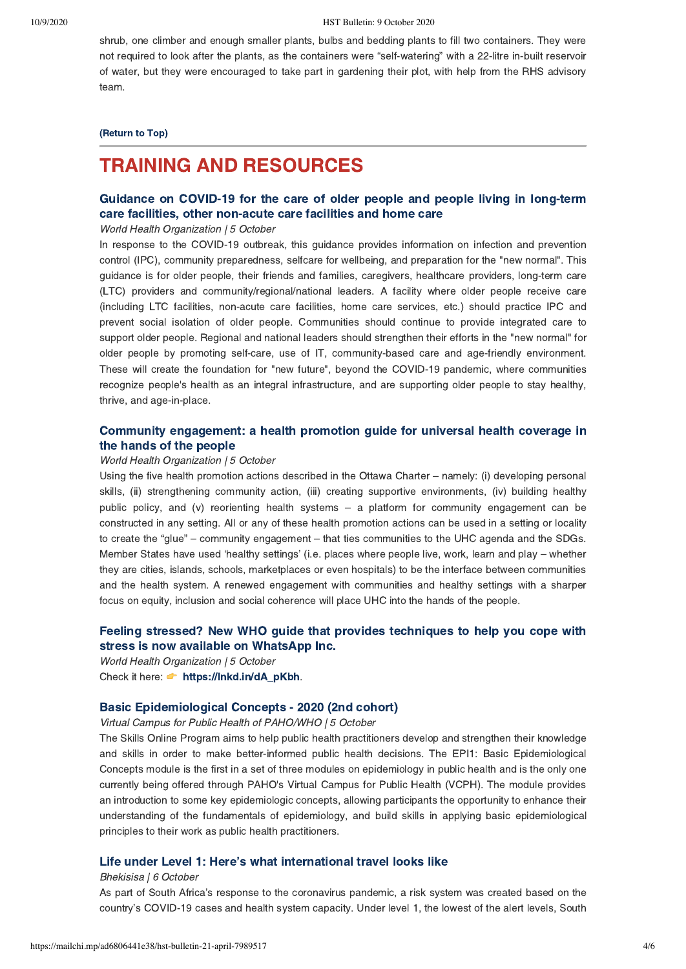shrub, one climber and enough smaller plants, bulbs and bedding plants to fill two containers. They were not required to look after the plants, as the containers were "self-watering" with a 22-litre in-built reservoir of water, but they were encouraged to take part in gardening their plot, with help from the RHS advisory team.

## [\(Return to Top\)](#page-0-1)

# <span id="page-3-0"></span>TRAINING AND RESOURCES

## [Guidance on COVID-19 for the care of older people and people living in long-term](https://www.who.int/publications/i/item/WPR-DSE-2020-015) care facilities, other non-acute care facilities and home care

#### World Health Organization | 5 October

In response to the COVID-19 outbreak, this guidance provides information on infection and prevention control (IPC), community preparedness, selfcare for wellbeing, and preparation for the "new normal". This guidance is for older people, their friends and families, caregivers, healthcare providers, long-term care (LTC) providers and community/regional/national leaders. A facility where older people receive care (including LTC facilities, non-acute care facilities, home care services, etc.) should practice IPC and prevent social isolation of older people. Communities should continue to provide integrated care to support older people. Regional and national leaders should strengthen their efforts in the "new normal" for older people by promoting self-care, use of IT, community-based care and age-friendly environment. These will create the foundation for "new future", beyond the COVID-19 pandemic, where communities recognize people's health as an integral infrastructure, and are supporting older people to stay healthy, thrive, and age-in-place.

## [Community engagement: a health promotion guide for universal health coverage in](https://www.who.int/publications/i/item/9789240010529) the hands of the people

#### World Health Organization | 5 October

Using the five health promotion actions described in the Ottawa Charter – namely: (i) developing personal skills, (ii) strengthening community action, (iii) creating supportive environments, (iv) building healthy public policy, and (v) reorienting health systems – a platform for community engagement can be constructed in any setting. All or any of these health promotion actions can be used in a setting or locality to create the "glue" – community engagement – that ties communities to the UHC agenda and the SDGs. Member States have used 'healthy settings' (i.e. places where people live, work, learn and play – whether they are cities, islands, schools, marketplaces or even hospitals) to be the interface between communities and the health system. A renewed engagement with communities and healthy settings with a sharper focus on equity, inclusion and social coherence will place UHC into the hands of the people.

## [Feeling stressed? New WHO guide that provides techniques to help you cope with](https://www.facebook.com/WHO/posts/3613253805386643) stress is now available on WhatsApp Inc.

World Health Organization | 5 October Check it here:  $\blacklozenge$  https://lnkd.in/dA\_pKbh.

## [Basic Epidemiological Concepts - 2020 \(2nd cohort\)](https://www.campusvirtualsp.org/en/course/basic-epidemiological-concepts-2-2020)

Virtual Campus for Public Health of PAHO/WHO | 5 October

The Skills Online Program aims to help public health practitioners develop and strengthen their knowledge and skills in order to make better-informed public health decisions. The EPI1: Basic Epidemiological Concepts module is the first in a set of three modules on epidemiology in public health and is the only one currently being offered through PAHO's Virtual Campus for Public Health (VCPH). The module provides an introduction to some key epidemiologic concepts, allowing participants the opportunity to enhance their understanding of the fundamentals of epidemiology, and build skills in applying basic epidemiological principles to their work as public health practitioners.

## [Life under Level 1: Here's what international travel looks like](https://bhekisisa.org/resources/general-resource/2020-10-06-life-under-level-1-heres-what-international-travel-looks-like/)

#### Bhekisisa | 6 October

As part of South Africa's response to the coronavirus pandemic, a risk system was created based on the country's COVID-19 cases and health system capacity. Under level 1, the lowest of the alert levels, South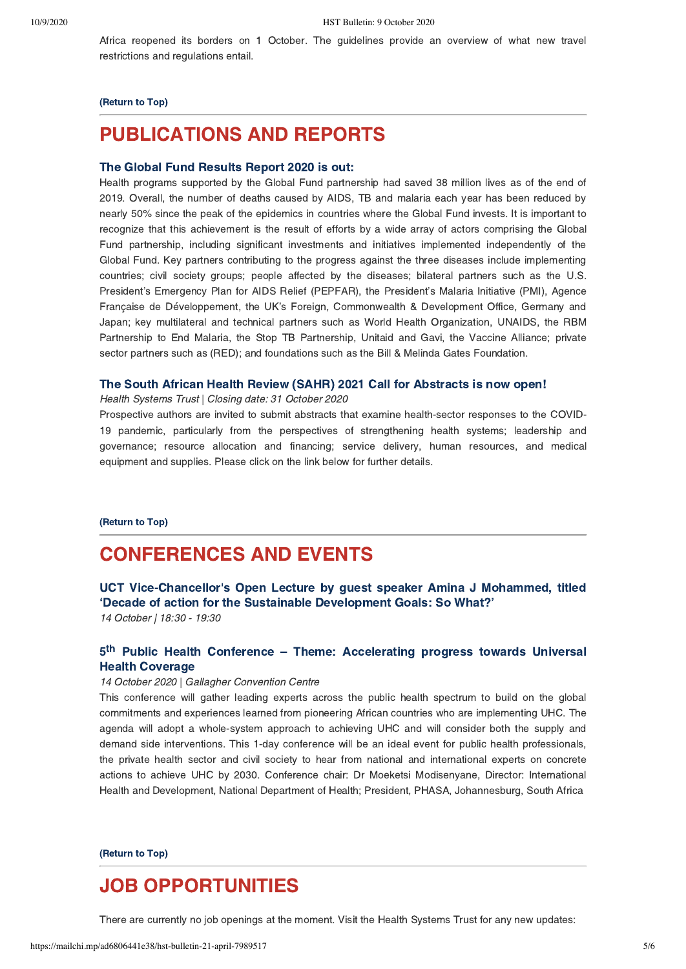Africa reopened its borders on 1 October. The guidelines provide an overview of what new travel restrictions and regulations entail.

#### [\(Return to Top\)](#page-0-1)

# PUBLICATIONS AND REPORTS

## [The Global Fund Results Report 2020 is out:](https://www.theglobalfund.org/media/10103/corporate_2020resultsreport_report_en.pdf.)

Health programs supported by the Global Fund partnership had saved 38 million lives as of the end of 2019. Overall, the number of deaths caused by AIDS, TB and malaria each year has been reduced by nearly 50% since the peak of the epidemics in countries where the Global Fund invests. It is important to recognize that this achievement is the result of efforts by a wide array of actors comprising the Global Fund partnership, including significant investments and initiatives implemented independently of the Global Fund. Key partners contributing to the progress against the three diseases include implementing countries; civil society groups; people affected by the diseases; bilateral partners such as the U.S. President's Emergency Plan for AIDS Relief (PEPFAR), the President's Malaria Initiative (PMI), Agence Française de Développement, the UK's Foreign, Commonwealth & Development Office, Germany and Japan; key multilateral and technical partners such as World Health Organization, UNAIDS, the RBM Partnership to End Malaria, the Stop TB Partnership, Unitaid and Gavi, the Vaccine Alliance; private sector partners such as (RED); and foundations such as the Bill & Melinda Gates Foundation.

## [The South African Health Review \(SAHR\) 2021 Call for Abstracts is now open!](https://www.hst.org.za/media/Pages/SAHR-2021-Call-for-Abstracts.aspx)

Health Systems Trust | Closing date: 31 October 2020

Prospective authors are invited to submit abstracts that examine health-sector responses to the COVID-19 pandemic, particularly from the perspectives of strengthening health systems; leadership and governance; resource allocation and financing; service delivery, human resources, and medical equipment and supplies. Please click on the link below for further details.

#### [\(Return to Top\)](#page-0-1)

# <span id="page-4-0"></span>CONFERENCES AND EVENTS

## [UCT Vice-Chancellor's Open Lecture by guest speaker Amina J Mohammed, titled](http://www.uct.ac.za/register-vice-chancellors-open-lecture-guest-speaker-amina-mohammed?utm_source=Twitter&utm_medium=Banner-Post&utm_campaign=Amina-Mohammed&utm_content=Register-Now) 'Decade of action for the Sustainable Development Goals: So What?' 14 October | 18:30 - 19:30

## 5<sup>th</sup> Public Health Conference - Theme: [Accelerating progress towards Universal](https://www.africahealthexhibition.com/en/conferences/overview/public-health.html) Health Coverage

#### 14 October 2020 | Gallagher Convention Centre

This conference will gather leading experts across the public health spectrum to build on the global commitments and experiences learned from pioneering African countries who are implementing UHC. The agenda will adopt a whole-system approach to achieving UHC and will consider both the supply and demand side interventions. This 1-day conference will be an ideal event for public health professionals, the private health sector and civil society to hear from national and international experts on concrete actions to achieve UHC by 2030. Conference chair: Dr Moeketsi Modisenyane, Director: International Health and Development, National Department of Health; President, PHASA, Johannesburg, South Africa

## [\(Return to Top\)](#page-0-1)

# JOB OPPORTUNITIES

There are currently no job openings at the moment. Visit the Health Systems Trust for any new updates: